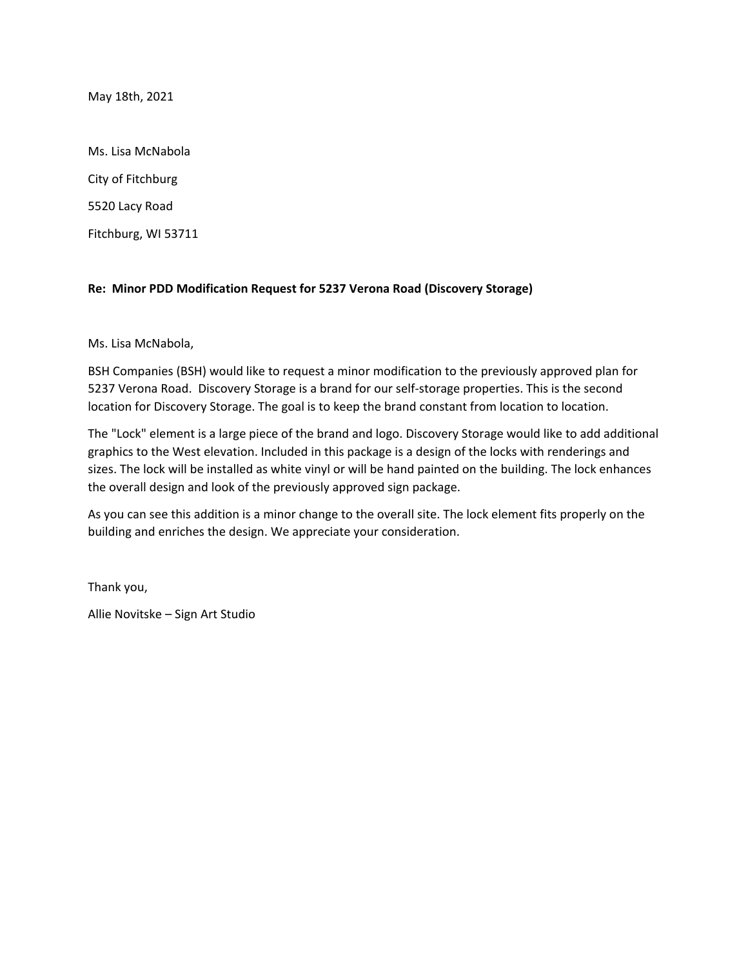May 18th, 2021

Ms. Lisa McNabola City of Fitchburg 5520 Lacy Road Fitchburg, WI 53711

## **Re: Minor PDD Modification Request for 5237 Verona Road (Discovery Storage)**

Ms. Lisa McNabola,

BSH Companies (BSH) would like to request a minor modification to the previously approved plan for 5237 Verona Road. Discovery Storage is a brand for our self-storage properties. This is the second location for Discovery Storage. The goal is to keep the brand constant from location to location.

The "Lock" element is a large piece of the brand and logo. Discovery Storage would like to add additional graphics to the West elevation. Included in this package is a design of the locks with renderings and sizes. The lock will be installed as white vinyl or will be hand painted on the building. The lock enhances the overall design and look of the previously approved sign package.

As you can see this addition is a minor change to the overall site. The lock element fits properly on the building and enriches the design. We appreciate your consideration.

Thank you,

Allie Novitske – Sign Art Studio